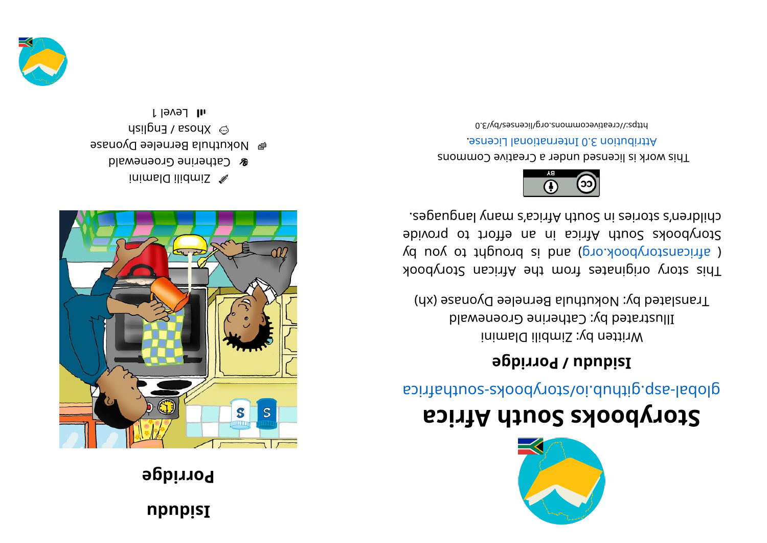## **npnpisI**

## **Porridge**



inimal  $Q$  ilidmis  $\mathscr A$ **& Catherine Groenewald e** Mokuthula Bernelee Dyonase  $\mu$ sil $\beta$ na  $\lambda$  sodX  $\odot$ l Level 1



## **storybooks South Africa**

global-asp.glidub.io/cotybooks-southafrica

## **Bidudi** / **Porridge**

Written by: Zimbili Dlamini Illustrated by: Catherine Groenewald Translated by: Nokuthula Bernelee Dyonase (xh)

kood yot a kiginates from the African Storybook ( africanstorybook.org) and is brought to you by Storybooks South Africa in an effort to provide . segaugnal ynam a' south Africa's nyn anges.



This work is licensed under a Creative Commons . esnecial lanoit and the change.

bttps://creativecommons.org/licenses/by/3.0

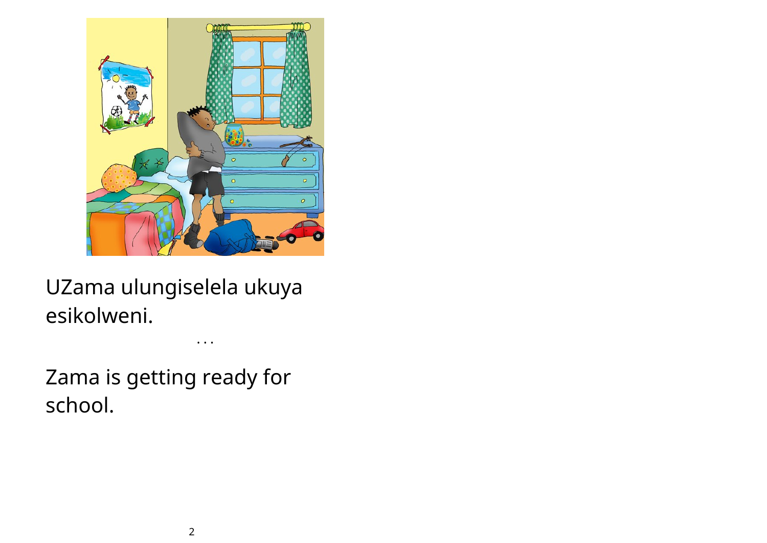

UZama ulungiselela ukuya esikolweni.

• • •

Zama is getting ready for school.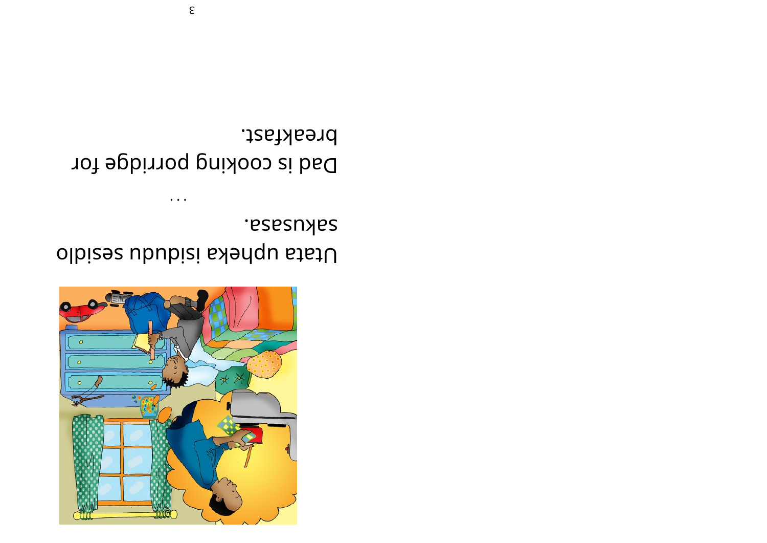

sakusasa. Utata upheka isidudu sesidlo

breakfast. Dad is cooking porridge for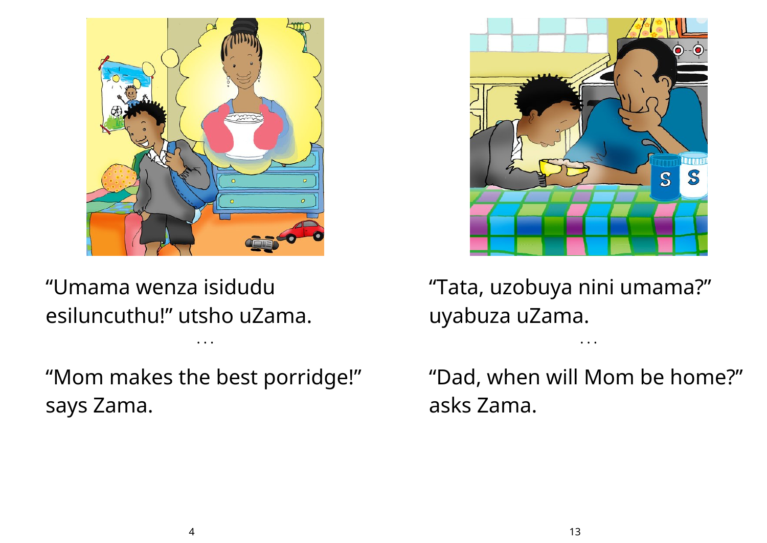

"Umama wenza isidudu esiluncuthu!" utsho uZama.

"Mom makes the best porridge!" says Zama.

• • •



"Tata, uzobuya nini umama?" uyabuza uZama.

"Dad, when will Mom be home?" asks Zama.

• • •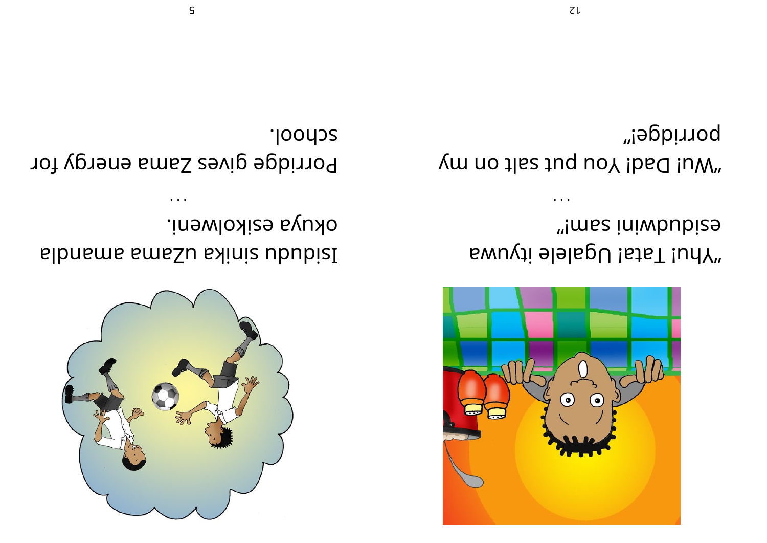

okuya ezikolweni. sibnsms sms. Shinis ububisl

**Joodos**. Porridge gives Zama energy for



"!mss iniwbubize whu! Tata! Ugalele ityuwa

porridge!" you do the study up to the University of the Vindon Summer of the Universe Summer Summer Summer Summer Summer Summer Summer Summer Summer Summer Summer Summer Summer Summer Summer Summer Summer Summer Summer Summer Summer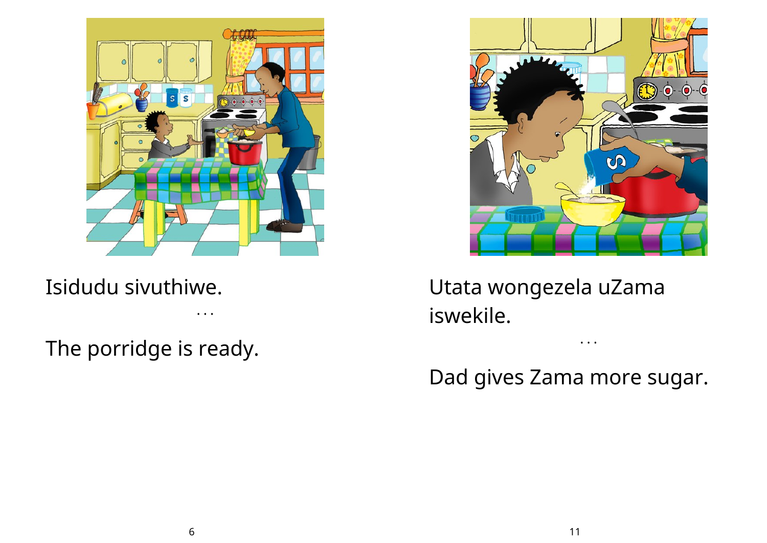

Isidudu sivuthiwe.

• • •

The porridge is ready.



Utata wongezela uZama iswekile.

Dad gives Zama more sugar.

• • •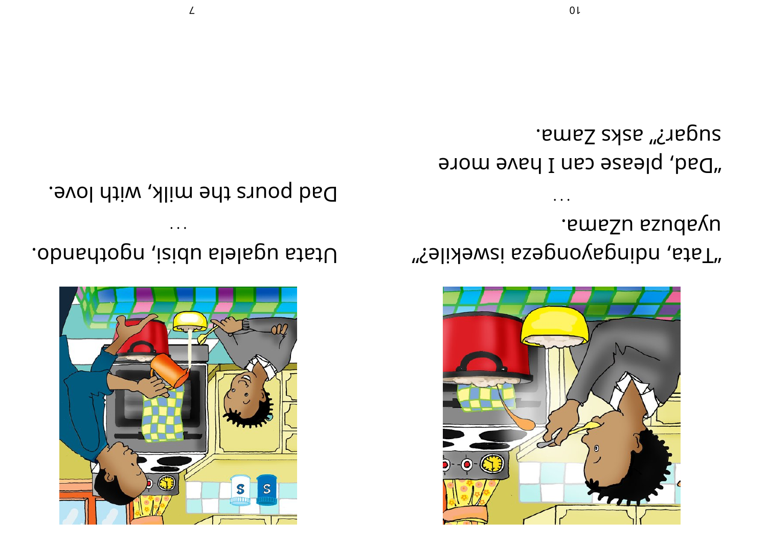

.smsSu ssudsvu "falixewsi ssepnovapnibn , staT"

remez saks <u>c</u>ama. "Dad, please can I have more



Utata ugalela ubisi, ngothando.

Dad pours the milk, with love.

 $\angle$